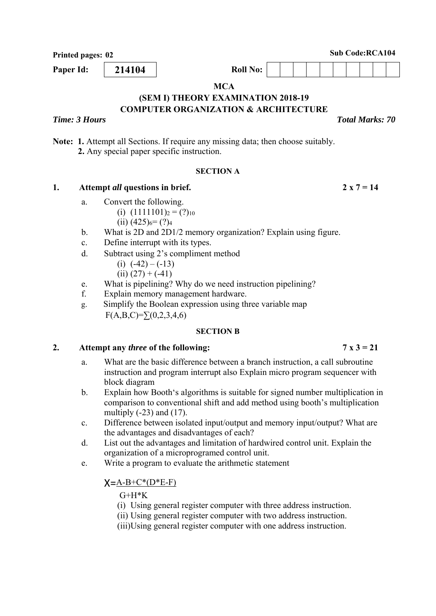**Printed pages: 02** Sub Code:RCA104

**MCA** 

#### **(SEM I) THEORY EXAMINATION 2018-19 COMPUTER ORGANIZATION & ARCHITECTURE**

# *Time: 3 Hours Total Marks: 70*

**Note: 1.** Attempt all Sections. If require any missing data; then choose suitably.  **2.** Any special paper specific instruction.

#### **SECTION A**

### 1. Attempt *all* questions in brief. 2 x  $7 = 14$

- a. Convert the following.
	- (i)  $(1111101)_2 = (?)_{10}$ 
		- $(ii)$  (425)<sub>6</sub> $=$  (?)<sub>4</sub>
- b. What is 2D and 2D1/2 memory organization? Explain using figure.
- c. Define interrupt with its types.
- d. Subtract using 2's compliment method
	- (i)  $(-42) (-13)$
	- $(ii) (27) + (-41)$
- e. What is pipelining? Why do we need instruction pipelining?
- f. Explain memory management hardware.
- g. Simplify the Boolean expression using three variable map  $F(A,B,C)=\sum (0,2,3,4,6)$

#### **SECTION B**

#### 2. Attempt any *three* of the following:  $7 \times 3 = 21$

- a. What are the basic difference between a branch instruction, a call subroutine instruction and program interrupt also Explain micro program sequencer with block diagram
- b. Explain how Booth's algorithms is suitable for signed number multiplication in comparison to conventional shift and add method using booth's multiplication multiply  $(-23)$  and  $(17)$ .
- c. Difference between isolated input/output and memory input/output? What are the advantages and disadvantages of each?
- d. List out the advantages and limitation of hardwired control unit. Explain the organization of a microprogramed control unit.
- e. Write a program to evaluate the arithmetic statement

# $X = A - B + C^*(D^*E - F)$

 $G+H*K$ 

- (i) Using general register computer with three address instruction.
- (ii) Using general register computer with two address instruction.
- (iii)Using general register computer with one address instruction.

**Paper Id:** | 214104